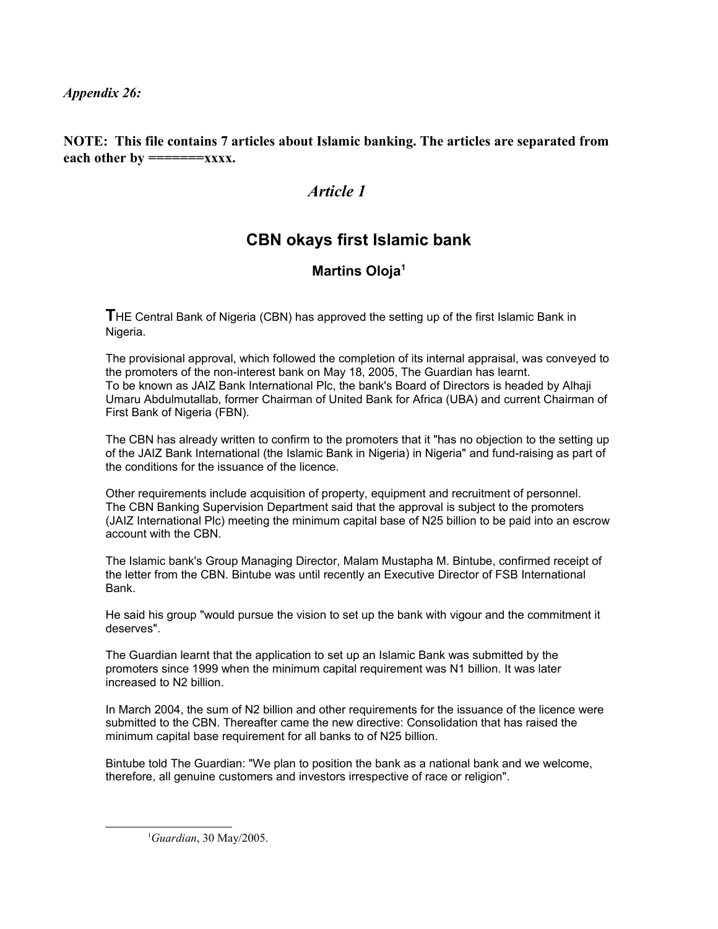*Appendix 26:*

**NOTE: This file contains 7 articles about Islamic banking. The articles are separated from** each other by =======xxxx.

# *Article 1*

# **CBN okays first Islamic bank**

# **Martins Oloja[1](#page-0-0)**

**T**HE Central Bank of Nigeria (CBN) has approved the setting up of the first Islamic Bank in Nigeria.

The provisional approval, which followed the completion of its internal appraisal, was conveyed to the promoters of the non-interest bank on May 18, 2005, The Guardian has learnt. To be known as JAIZ Bank International Plc, the bank's Board of Directors is headed by Alhaji Umaru Abdulmutallab, former Chairman of United Bank for Africa (UBA) and current Chairman of First Bank of Nigeria (FBN).

The CBN has already written to confirm to the promoters that it "has no objection to the setting up of the JAIZ Bank International (the Islamic Bank in Nigeria) in Nigeria" and fund-raising as part of the conditions for the issuance of the licence.

Other requirements include acquisition of property, equipment and recruitment of personnel. The CBN Banking Supervision Department said that the approval is subject to the promoters (JAIZ International Plc) meeting the minimum capital base of N25 billion to be paid into an escrow account with the CBN.

The Islamic bank's Group Managing Director, Malam Mustapha M. Bintube, confirmed receipt of the letter from the CBN. Bintube was until recently an Executive Director of FSB International Bank.

He said his group "would pursue the vision to set up the bank with vigour and the commitment it deserves".

The Guardian learnt that the application to set up an Islamic Bank was submitted by the promoters since 1999 when the minimum capital requirement was N1 billion. It was later increased to N2 billion.

In March 2004, the sum of N2 billion and other requirements for the issuance of the licence were submitted to the CBN. Thereafter came the new directive: Consolidation that has raised the minimum capital base requirement for all banks to of N25 billion.

Bintube told The Guardian: "We plan to position the bank as a national bank and we welcome, therefore, all genuine customers and investors irrespective of race or religion".

<span id="page-0-0"></span><sup>1</sup>*Guardian*, 30 May/2005.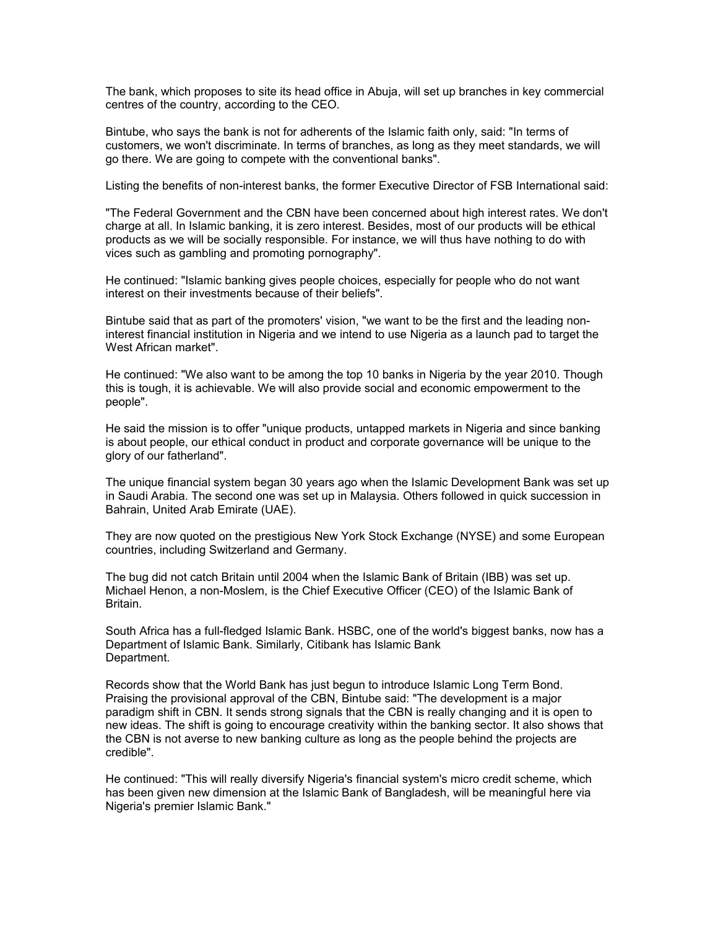The bank, which proposes to site its head office in Abuja, will set up branches in key commercial centres of the country, according to the CEO.

Bintube, who says the bank is not for adherents of the Islamic faith only, said: "In terms of customers, we won't discriminate. In terms of branches, as long as they meet standards, we will go there. We are going to compete with the conventional banks".

Listing the benefits of non-interest banks, the former Executive Director of FSB International said:

"The Federal Government and the CBN have been concerned about high interest rates. We don't charge at all. In Islamic banking, it is zero interest. Besides, most of our products will be ethical products as we will be socially responsible. For instance, we will thus have nothing to do with vices such as gambling and promoting pornography".

He continued: "Islamic banking gives people choices, especially for people who do not want interest on their investments because of their beliefs".

Bintube said that as part of the promoters' vision, "we want to be the first and the leading noninterest financial institution in Nigeria and we intend to use Nigeria as a launch pad to target the West African market".

He continued: "We also want to be among the top 10 banks in Nigeria by the year 2010. Though this is tough, it is achievable. We will also provide social and economic empowerment to the people".

He said the mission is to offer "unique products, untapped markets in Nigeria and since banking is about people, our ethical conduct in product and corporate governance will be unique to the glory of our fatherland".

The unique financial system began 30 years ago when the Islamic Development Bank was set up in Saudi Arabia. The second one was set up in Malaysia. Others followed in quick succession in Bahrain, United Arab Emirate (UAE).

They are now quoted on the prestigious New York Stock Exchange (NYSE) and some European countries, including Switzerland and Germany.

The bug did not catch Britain until 2004 when the Islamic Bank of Britain (IBB) was set up. Michael Henon, a non-Moslem, is the Chief Executive Officer (CEO) of the Islamic Bank of Britain.

South Africa has a full-fledged Islamic Bank. HSBC, one of the world's biggest banks, now has a Department of Islamic Bank. Similarly, Citibank has Islamic Bank Department.

Records show that the World Bank has just begun to introduce Islamic Long Term Bond. Praising the provisional approval of the CBN, Bintube said: "The development is a major paradigm shift in CBN. It sends strong signals that the CBN is really changing and it is open to new ideas. The shift is going to encourage creativity within the banking sector. It also shows that the CBN is not averse to new banking culture as long as the people behind the projects are credible".

He continued: "This will really diversify Nigeria's financial system's micro credit scheme, which has been given new dimension at the Islamic Bank of Bangladesh, will be meaningful here via Nigeria's premier Islamic Bank."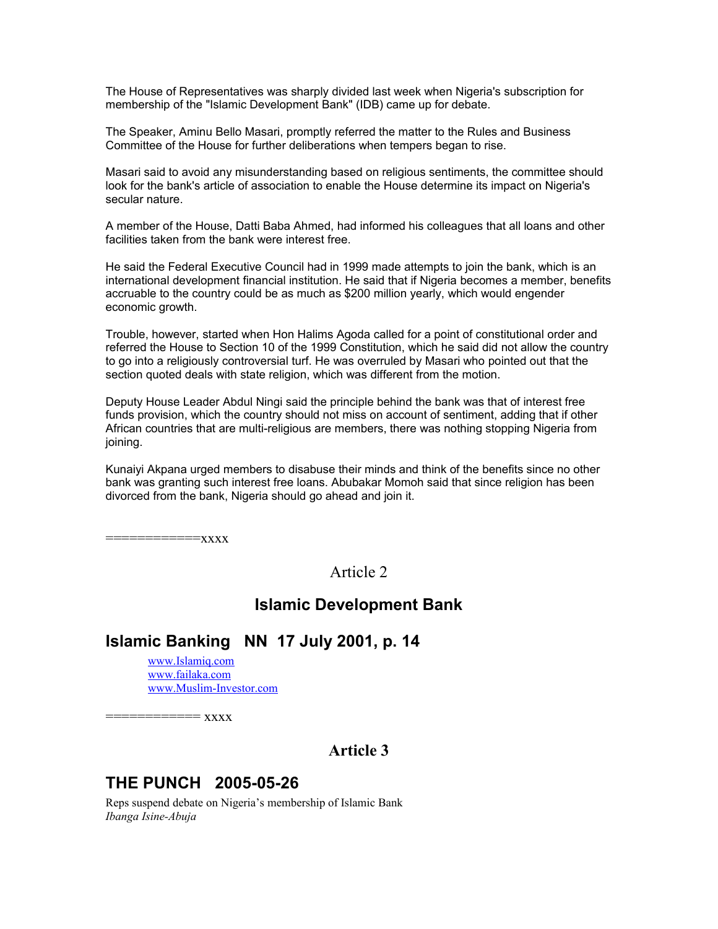The House of Representatives was sharply divided last week when Nigeria's subscription for membership of the "Islamic Development Bank" (IDB) came up for debate.

The Speaker, Aminu Bello Masari, promptly referred the matter to the Rules and Business Committee of the House for further deliberations when tempers began to rise.

Masari said to avoid any misunderstanding based on religious sentiments, the committee should look for the bank's article of association to enable the House determine its impact on Nigeria's secular nature.

A member of the House, Datti Baba Ahmed, had informed his colleagues that all loans and other facilities taken from the bank were interest free.

He said the Federal Executive Council had in 1999 made attempts to join the bank, which is an international development financial institution. He said that if Nigeria becomes a member, benefits accruable to the country could be as much as \$200 million yearly, which would engender economic growth.

Trouble, however, started when Hon Halims Agoda called for a point of constitutional order and referred the House to Section 10 of the 1999 Constitution, which he said did not allow the country to go into a religiously controversial turf. He was overruled by Masari who pointed out that the section quoted deals with state religion, which was different from the motion.

Deputy House Leader Abdul Ningi said the principle behind the bank was that of interest free funds provision, which the country should not miss on account of sentiment, adding that if other African countries that are multi-religious are members, there was nothing stopping Nigeria from joining.

Kunaiyi Akpana urged members to disabuse their minds and think of the benefits since no other bank was granting such interest free loans. Abubakar Momoh said that since religion has been divorced from the bank, Nigeria should go ahead and join it.

 $=xxxx$ 

Article 2

## **Islamic Development Bank**

# **Islamic Banking NN 17 July 2001, p. 14**

[www.Islamiq.com](http://www.Islamiq.com/) [www.failaka.com](http://www.failaka.com/) [www.Muslim-Investor.com](http://www.Muslim-Investor.com/)

 $=$   $XXXX$ 

# **Article 3**

# **THE PUNCH 2005-05-26**

Reps suspend debate on Nigeria's membership of Islamic Bank *Ibanga Isine-Abuja*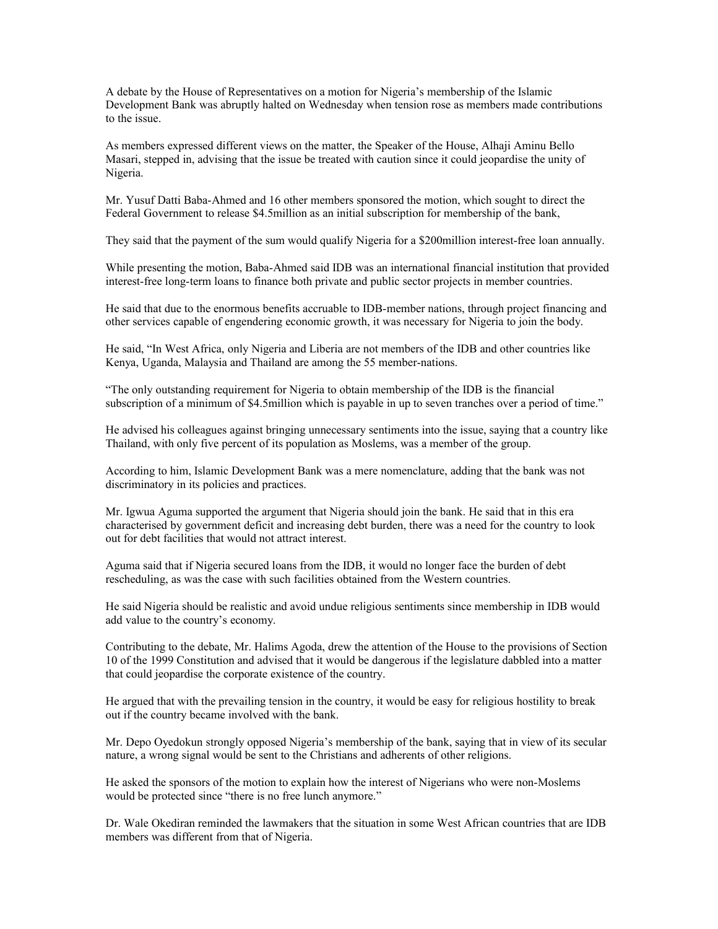A debate by the House of Representatives on a motion for Nigeria's membership of the Islamic Development Bank was abruptly halted on Wednesday when tension rose as members made contributions to the issue.

As members expressed different views on the matter, the Speaker of the House, Alhaji Aminu Bello Masari, stepped in, advising that the issue be treated with caution since it could jeopardise the unity of Nigeria.

Mr. Yusuf Datti Baba-Ahmed and 16 other members sponsored the motion, which sought to direct the Federal Government to release \$4.5million as an initial subscription for membership of the bank,

They said that the payment of the sum would qualify Nigeria for a \$200million interest-free loan annually.

While presenting the motion, Baba-Ahmed said IDB was an international financial institution that provided interest-free long-term loans to finance both private and public sector projects in member countries.

He said that due to the enormous benefits accruable to IDB-member nations, through project financing and other services capable of engendering economic growth, it was necessary for Nigeria to join the body.

He said, "In West Africa, only Nigeria and Liberia are not members of the IDB and other countries like Kenya, Uganda, Malaysia and Thailand are among the 55 member-nations.

"The only outstanding requirement for Nigeria to obtain membership of the IDB is the financial subscription of a minimum of \$4.5million which is payable in up to seven tranches over a period of time."

He advised his colleagues against bringing unnecessary sentiments into the issue, saying that a country like Thailand, with only five percent of its population as Moslems, was a member of the group.

According to him, Islamic Development Bank was a mere nomenclature, adding that the bank was not discriminatory in its policies and practices.

Mr. Igwua Aguma supported the argument that Nigeria should join the bank. He said that in this era characterised by government deficit and increasing debt burden, there was a need for the country to look out for debt facilities that would not attract interest.

Aguma said that if Nigeria secured loans from the IDB, it would no longer face the burden of debt rescheduling, as was the case with such facilities obtained from the Western countries.

He said Nigeria should be realistic and avoid undue religious sentiments since membership in IDB would add value to the country's economy.

Contributing to the debate, Mr. Halims Agoda, drew the attention of the House to the provisions of Section 10 of the 1999 Constitution and advised that it would be dangerous if the legislature dabbled into a matter that could jeopardise the corporate existence of the country.

He argued that with the prevailing tension in the country, it would be easy for religious hostility to break out if the country became involved with the bank.

Mr. Depo Oyedokun strongly opposed Nigeria's membership of the bank, saying that in view of its secular nature, a wrong signal would be sent to the Christians and adherents of other religions.

He asked the sponsors of the motion to explain how the interest of Nigerians who were non-Moslems would be protected since "there is no free lunch anymore."

Dr. Wale Okediran reminded the lawmakers that the situation in some West African countries that are IDB members was different from that of Nigeria.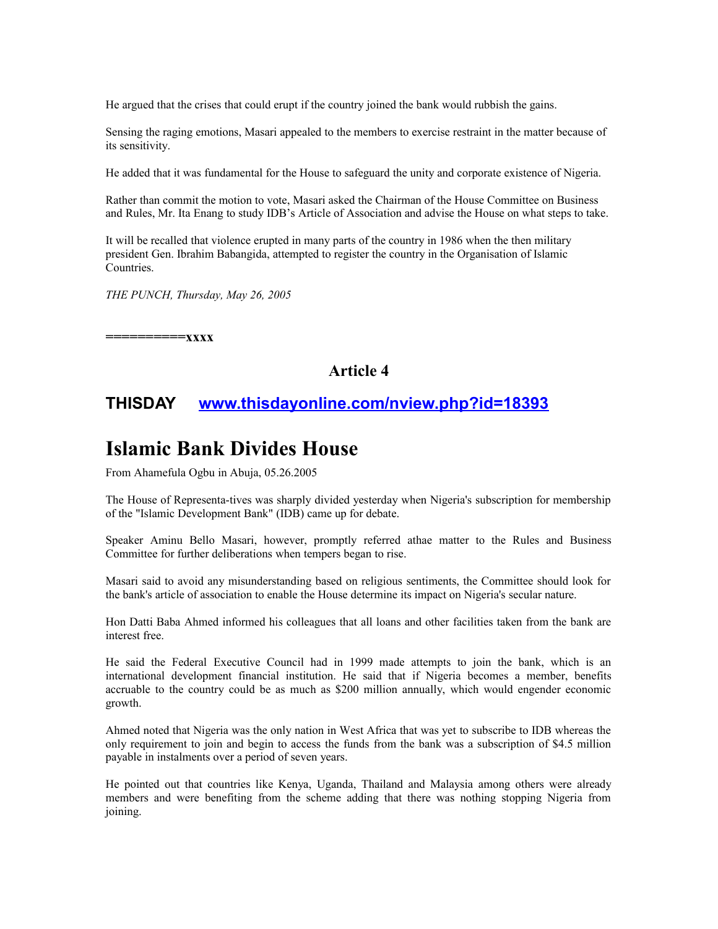He argued that the crises that could erupt if the country joined the bank would rubbish the gains.

Sensing the raging emotions, Masari appealed to the members to exercise restraint in the matter because of its sensitivity.

He added that it was fundamental for the House to safeguard the unity and corporate existence of Nigeria.

Rather than commit the motion to vote, Masari asked the Chairman of the House Committee on Business and Rules, Mr. Ita Enang to study IDB's Article of Association and advise the House on what steps to take.

It will be recalled that violence erupted in many parts of the country in 1986 when the then military president Gen. Ibrahim Babangida, attempted to register the country in the Organisation of Islamic Countries.

*THE PUNCH, Thursday, May 26, 2005* 

**==========xxxx**

### **Article 4**

### **THISDAY [www.thisdayonline.com/nview.php?id=18393](http://www.thisdayonline.com/nbview.php?ik=18393)**

# **Islamic Bank Divides House**

From Ahamefula Ogbu in Abuja, 05.26.2005

The House of Representa-tives was sharply divided yesterday when Nigeria's subscription for membership of the "Islamic Development Bank" (IDB) came up for debate.

Speaker Aminu Bello Masari, however, promptly referred athae matter to the Rules and Business Committee for further deliberations when tempers began to rise.

Masari said to avoid any misunderstanding based on religious sentiments, the Committee should look for the bank's article of association to enable the House determine its impact on Nigeria's secular nature.

Hon Datti Baba Ahmed informed his colleagues that all loans and other facilities taken from the bank are interest free.

He said the Federal Executive Council had in 1999 made attempts to join the bank, which is an international development financial institution. He said that if Nigeria becomes a member, benefits accruable to the country could be as much as \$200 million annually, which would engender economic growth.

Ahmed noted that Nigeria was the only nation in West Africa that was yet to subscribe to IDB whereas the only requirement to join and begin to access the funds from the bank was a subscription of \$4.5 million payable in instalments over a period of seven years.

He pointed out that countries like Kenya, Uganda, Thailand and Malaysia among others were already members and were benefiting from the scheme adding that there was nothing stopping Nigeria from joining.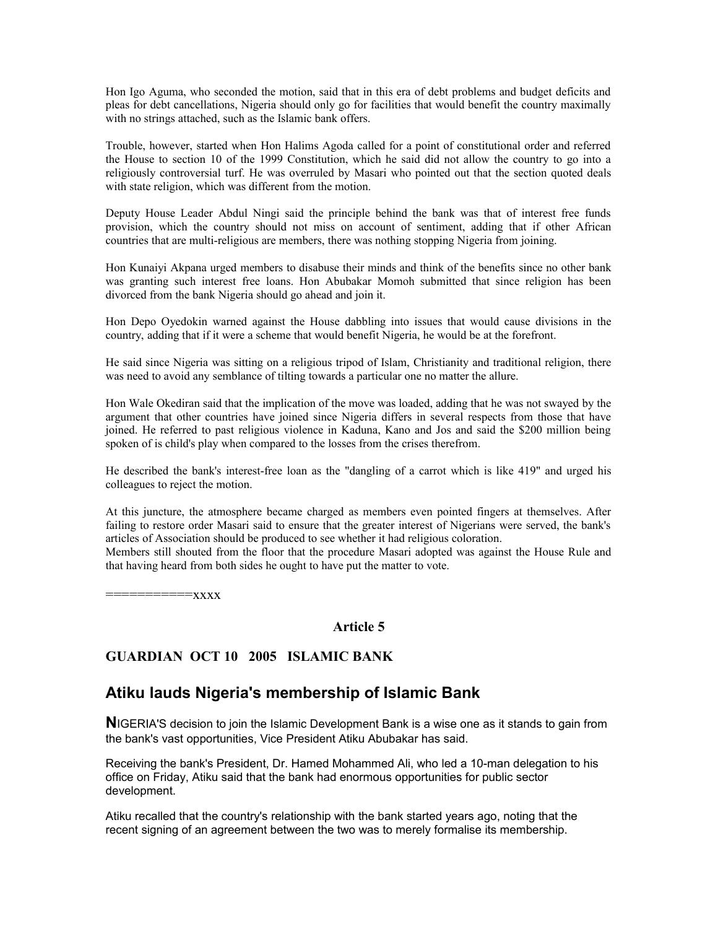Hon Igo Aguma, who seconded the motion, said that in this era of debt problems and budget deficits and pleas for debt cancellations, Nigeria should only go for facilities that would benefit the country maximally with no strings attached, such as the Islamic bank offers.

Trouble, however, started when Hon Halims Agoda called for a point of constitutional order and referred the House to section 10 of the 1999 Constitution, which he said did not allow the country to go into a religiously controversial turf. He was overruled by Masari who pointed out that the section quoted deals with state religion, which was different from the motion.

Deputy House Leader Abdul Ningi said the principle behind the bank was that of interest free funds provision, which the country should not miss on account of sentiment, adding that if other African countries that are multi-religious are members, there was nothing stopping Nigeria from joining.

Hon Kunaiyi Akpana urged members to disabuse their minds and think of the benefits since no other bank was granting such interest free loans. Hon Abubakar Momoh submitted that since religion has been divorced from the bank Nigeria should go ahead and join it.

Hon Depo Oyedokin warned against the House dabbling into issues that would cause divisions in the country, adding that if it were a scheme that would benefit Nigeria, he would be at the forefront.

He said since Nigeria was sitting on a religious tripod of Islam, Christianity and traditional religion, there was need to avoid any semblance of tilting towards a particular one no matter the allure.

Hon Wale Okediran said that the implication of the move was loaded, adding that he was not swayed by the argument that other countries have joined since Nigeria differs in several respects from those that have joined. He referred to past religious violence in Kaduna, Kano and Jos and said the \$200 million being spoken of is child's play when compared to the losses from the crises therefrom.

He described the bank's interest-free loan as the "dangling of a carrot which is like 419" and urged his colleagues to reject the motion.

At this juncture, the atmosphere became charged as members even pointed fingers at themselves. After failing to restore order Masari said to ensure that the greater interest of Nigerians were served, the bank's articles of Association should be produced to see whether it had religious coloration.

Members still shouted from the floor that the procedure Masari adopted was against the House Rule and that having heard from both sides he ought to have put the matter to vote.

 $=$ xxx $x$ 

### **Article 5**

### **GUARDIAN OCT 10 2005 ISLAMIC BANK**

### **Atiku lauds Nigeria's membership of Islamic Bank**

**N**IGERIA'S decision to join the Islamic Development Bank is a wise one as it stands to gain from the bank's vast opportunities, Vice President Atiku Abubakar has said.

Receiving the bank's President, Dr. Hamed Mohammed Ali, who led a 10-man delegation to his office on Friday, Atiku said that the bank had enormous opportunities for public sector development.

Atiku recalled that the country's relationship with the bank started years ago, noting that the recent signing of an agreement between the two was to merely formalise its membership.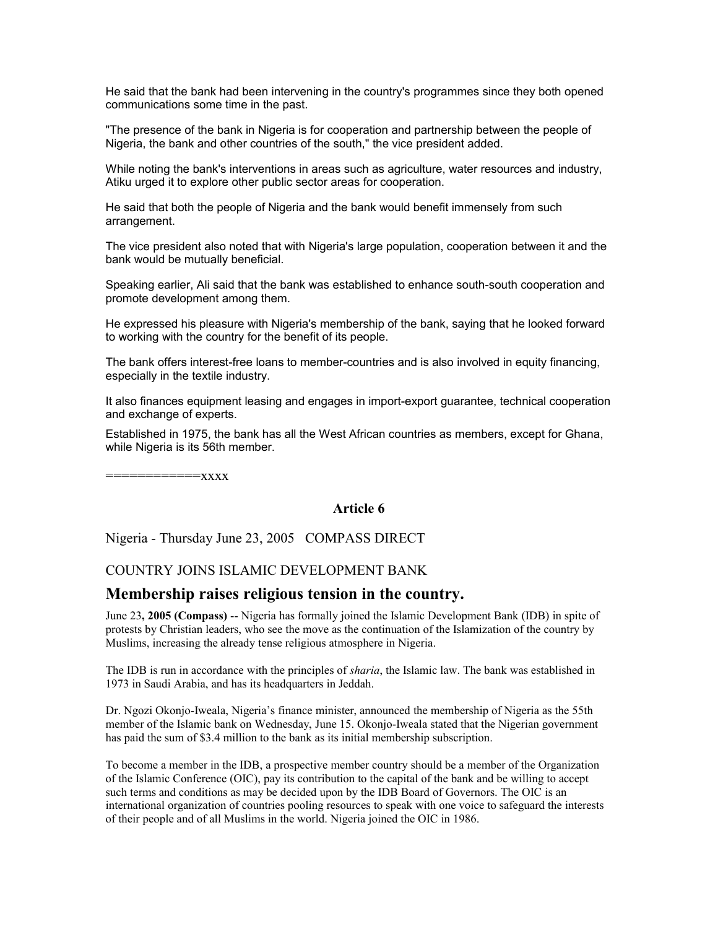He said that the bank had been intervening in the country's programmes since they both opened communications some time in the past.

"The presence of the bank in Nigeria is for cooperation and partnership between the people of Nigeria, the bank and other countries of the south," the vice president added.

While noting the bank's interventions in areas such as agriculture, water resources and industry, Atiku urged it to explore other public sector areas for cooperation.

He said that both the people of Nigeria and the bank would benefit immensely from such arrangement.

The vice president also noted that with Nigeria's large population, cooperation between it and the bank would be mutually beneficial.

Speaking earlier, Ali said that the bank was established to enhance south-south cooperation and promote development among them.

He expressed his pleasure with Nigeria's membership of the bank, saying that he looked forward to working with the country for the benefit of its people.

The bank offers interest-free loans to member-countries and is also involved in equity financing, especially in the textile industry.

It also finances equipment leasing and engages in import-export guarantee, technical cooperation and exchange of experts.

Established in 1975, the bank has all the West African countries as members, except for Ghana, while Nigeria is its 56th member.

============xxxx

### **Article 6**

Nigeria - Thursday June 23, 2005 COMPASS DIRECT

### COUNTRY JOINS ISLAMIC DEVELOPMENT BANK

### **Membership raises religious tension in the country.**

June 23**, 2005 (Compass)** -- Nigeria has formally joined the Islamic Development Bank (IDB) in spite of protests by Christian leaders, who see the move as the continuation of the Islamization of the country by Muslims, increasing the already tense religious atmosphere in Nigeria.

The IDB is run in accordance with the principles of *sharia*, the Islamic law. The bank was established in 1973 in Saudi Arabia, and has its headquarters in Jeddah.

Dr. Ngozi Okonjo-Iweala, Nigeria's finance minister, announced the membership of Nigeria as the 55th member of the Islamic bank on Wednesday, June 15. Okonjo-Iweala stated that the Nigerian government has paid the sum of \$3.4 million to the bank as its initial membership subscription.

To become a member in the IDB, a prospective member country should be a member of the Organization of the Islamic Conference (OIC), pay its contribution to the capital of the bank and be willing to accept such terms and conditions as may be decided upon by the IDB Board of Governors. The OIC is an international organization of countries pooling resources to speak with one voice to safeguard the interests of their people and of all Muslims in the world. Nigeria joined the OIC in 1986.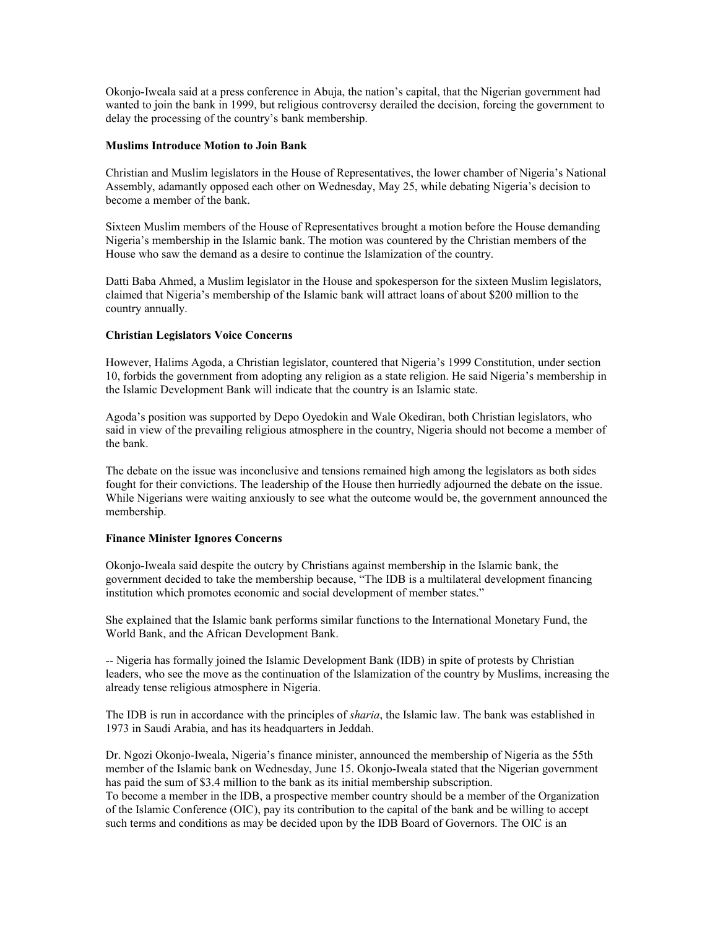Okonjo-Iweala said at a press conference in Abuja, the nation's capital, that the Nigerian government had wanted to join the bank in 1999, but religious controversy derailed the decision, forcing the government to delay the processing of the country's bank membership.

#### **Muslims Introduce Motion to Join Bank**

Christian and Muslim legislators in the House of Representatives, the lower chamber of Nigeria's National Assembly, adamantly opposed each other on Wednesday, May 25, while debating Nigeria's decision to become a member of the bank.

Sixteen Muslim members of the House of Representatives brought a motion before the House demanding Nigeria's membership in the Islamic bank. The motion was countered by the Christian members of the House who saw the demand as a desire to continue the Islamization of the country.

Datti Baba Ahmed, a Muslim legislator in the House and spokesperson for the sixteen Muslim legislators, claimed that Nigeria's membership of the Islamic bank will attract loans of about \$200 million to the country annually.

#### **Christian Legislators Voice Concerns**

However, Halims Agoda, a Christian legislator, countered that Nigeria's 1999 Constitution, under section 10, forbids the government from adopting any religion as a state religion. He said Nigeria's membership in the Islamic Development Bank will indicate that the country is an Islamic state.

Agoda's position was supported by Depo Oyedokin and Wale Okediran, both Christian legislators, who said in view of the prevailing religious atmosphere in the country, Nigeria should not become a member of the bank.

The debate on the issue was inconclusive and tensions remained high among the legislators as both sides fought for their convictions. The leadership of the House then hurriedly adjourned the debate on the issue. While Nigerians were waiting anxiously to see what the outcome would be, the government announced the membership.

#### **Finance Minister Ignores Concerns**

Okonjo-Iweala said despite the outcry by Christians against membership in the Islamic bank, the government decided to take the membership because, "The IDB is a multilateral development financing institution which promotes economic and social development of member states."

She explained that the Islamic bank performs similar functions to the International Monetary Fund, the World Bank, and the African Development Bank.

-- Nigeria has formally joined the Islamic Development Bank (IDB) in spite of protests by Christian leaders, who see the move as the continuation of the Islamization of the country by Muslims, increasing the already tense religious atmosphere in Nigeria.

The IDB is run in accordance with the principles of *sharia*, the Islamic law. The bank was established in 1973 in Saudi Arabia, and has its headquarters in Jeddah.

Dr. Ngozi Okonjo-Iweala, Nigeria's finance minister, announced the membership of Nigeria as the 55th member of the Islamic bank on Wednesday, June 15. Okonjo-Iweala stated that the Nigerian government has paid the sum of \$3.4 million to the bank as its initial membership subscription.

To become a member in the IDB, a prospective member country should be a member of the Organization of the Islamic Conference (OIC), pay its contribution to the capital of the bank and be willing to accept such terms and conditions as may be decided upon by the IDB Board of Governors. The OIC is an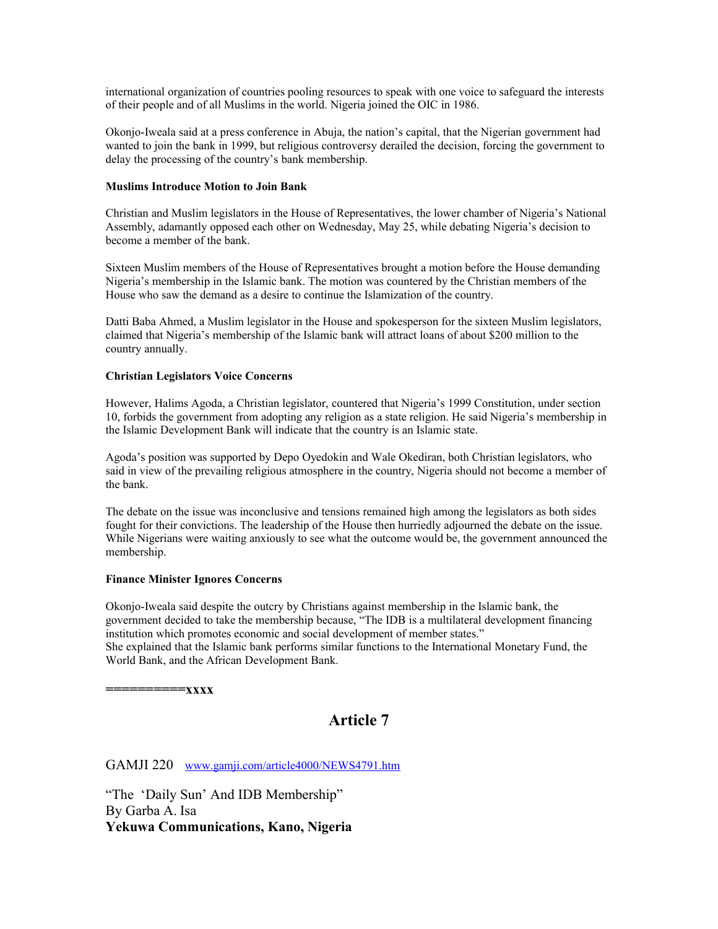international organization of countries pooling resources to speak with one voice to safeguard the interests of their people and of all Muslims in the world. Nigeria joined the OIC in 1986.

Okonjo-Iweala said at a press conference in Abuja, the nation's capital, that the Nigerian government had wanted to join the bank in 1999, but religious controversy derailed the decision, forcing the government to delay the processing of the country's bank membership.

#### **Muslims Introduce Motion to Join Bank**

Christian and Muslim legislators in the House of Representatives, the lower chamber of Nigeria's National Assembly, adamantly opposed each other on Wednesday, May 25, while debating Nigeria's decision to become a member of the bank.

Sixteen Muslim members of the House of Representatives brought a motion before the House demanding Nigeria's membership in the Islamic bank. The motion was countered by the Christian members of the House who saw the demand as a desire to continue the Islamization of the country.

Datti Baba Ahmed, a Muslim legislator in the House and spokesperson for the sixteen Muslim legislators, claimed that Nigeria's membership of the Islamic bank will attract loans of about \$200 million to the country annually.

#### **Christian Legislators Voice Concerns**

However, Halims Agoda, a Christian legislator, countered that Nigeria's 1999 Constitution, under section 10, forbids the government from adopting any religion as a state religion. He said Nigeria's membership in the Islamic Development Bank will indicate that the country is an Islamic state.

Agoda's position was supported by Depo Oyedokin and Wale Okediran, both Christian legislators, who said in view of the prevailing religious atmosphere in the country, Nigeria should not become a member of the bank.

The debate on the issue was inconclusive and tensions remained high among the legislators as both sides fought for their convictions. The leadership of the House then hurriedly adjourned the debate on the issue. While Nigerians were waiting anxiously to see what the outcome would be, the government announced the membership.

#### **Finance Minister Ignores Concerns**

Okonjo-Iweala said despite the outcry by Christians against membership in the Islamic bank, the government decided to take the membership because, "The IDB is a multilateral development financing institution which promotes economic and social development of member states." She explained that the Islamic bank performs similar functions to the International Monetary Fund, the World Bank, and the African Development Bank.

**==========xxxx**

# **Article 7**

GAMJI 220 [www.gamji.com/article4000/NEWS4791.htm](http://www.gamji.com/article4000/NEWS4791.htm)

"The 'Daily Sun' And IDB Membership" By Garba A. Isa **Yekuwa Communications, Kano, Nigeria**